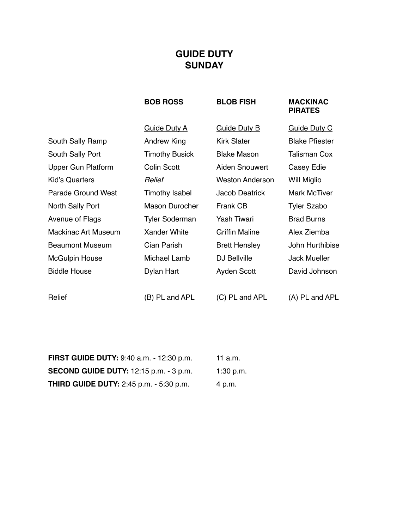# **GUIDE DUTY SUNDAY**

### **BOB ROSS BLOB FISH MACKINAC PIRATES**

|                            | <b>Guide Duty A</b>   | <b>Guide Duty B</b>    | <b>Guide Duty C</b>   |
|----------------------------|-----------------------|------------------------|-----------------------|
| South Sally Ramp           | Andrew King           | <b>Kirk Slater</b>     | <b>Blake Pfiester</b> |
| South Sally Port           | <b>Timothy Busick</b> | <b>Blake Mason</b>     | <b>Talisman Cox</b>   |
| Upper Gun Platform         | Colin Scott           | Aiden Snouwert         | Casey Edie            |
| Kid's Quarters             | Relief                | <b>Weston Anderson</b> | Will Miglio           |
| Parade Ground West         | Timothy Isabel        | Jacob Deatrick         | Mark McTiver          |
| North Sally Port           | Mason Durocher        | Frank CB               | <b>Tyler Szabo</b>    |
| Avenue of Flags            | <b>Tyler Soderman</b> | <b>Yash Tiwari</b>     | <b>Brad Burns</b>     |
| <b>Mackinac Art Museum</b> | Xander White          | <b>Griffin Maline</b>  | Alex Ziemba           |
| <b>Beaumont Museum</b>     | Cian Parish           | <b>Brett Hensley</b>   | John Hurthibise       |
| <b>McGulpin House</b>      | Michael Lamb          | DJ Bellville           | <b>Jack Mueller</b>   |
| <b>Biddle House</b>        | Dylan Hart            | Ayden Scott            | David Johnson         |
|                            |                       |                        |                       |
|                            |                       |                        |                       |

Relief (B) PL and APL (C) PL and APL (A) PL and APL

| <b>FIRST GUIDE DUTY:</b> 9:40 a.m. - 12:30 p.m. | 11 $a.m.$ |
|-------------------------------------------------|-----------|
| <b>SECOND GUIDE DUTY:</b> 12:15 p.m. - 3 p.m.   | 1:30 p.m. |
| <b>THIRD GUIDE DUTY:</b> 2:45 p.m. - 5:30 p.m.  | 4 p.m.    |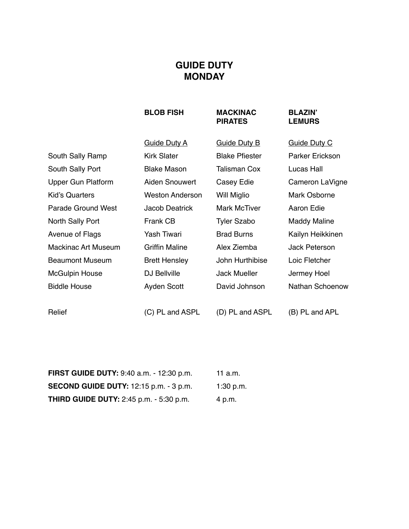## **GUIDE DUTY MONDAY**

### **BLOB FISH MACKINAC BLAZIN' PIRATES**

|                        | <b>Guide Duty A</b>    | <b>Guide Duty B</b>   | <b>Guide Duty C</b>    |
|------------------------|------------------------|-----------------------|------------------------|
| South Sally Ramp       | <b>Kirk Slater</b>     | <b>Blake Pfiester</b> | <b>Parker Erickson</b> |
| South Sally Port       | <b>Blake Mason</b>     | <b>Talisman Cox</b>   | Lucas Hall             |
| Upper Gun Platform     | Aiden Snouwert         | Casey Edie            | Cameron LaVigne        |
| <b>Kid's Quarters</b>  | <b>Weston Anderson</b> | Will Miglio           | Mark Osborne           |
| Parade Ground West     | Jacob Deatrick         | Mark McTiver          | Aaron Edie             |
| North Sally Port       | Frank CB               | <b>Tyler Szabo</b>    | <b>Maddy Maline</b>    |
| Avenue of Flags        | Yash Tiwari            | <b>Brad Burns</b>     | Kailyn Heikkinen       |
| Mackinac Art Museum    | <b>Griffin Maline</b>  | Alex Ziemba           | Jack Peterson          |
| <b>Beaumont Museum</b> | <b>Brett Hensley</b>   | John Hurthibise       | Loic Fletcher          |
| <b>McGulpin House</b>  | DJ Bellville           | <b>Jack Mueller</b>   | Jermey Hoel            |
| <b>Biddle House</b>    | Ayden Scott            | David Johnson         | Nathan Schoenow        |
|                        |                        |                       |                        |
| Relief                 | (C) PL and ASPL        | (D) PL and ASPL       | (B) PL and APL         |

**FIRST GUIDE DUTY:** 9:40 a.m. - 12:30 p.m. 11 a.m. **SECOND GUIDE DUTY:** 12:15 p.m. - 3 p.m. 1:30 p.m. **THIRD GUIDE DUTY:** 2:45 p.m. - 5:30 p.m. 4 p.m.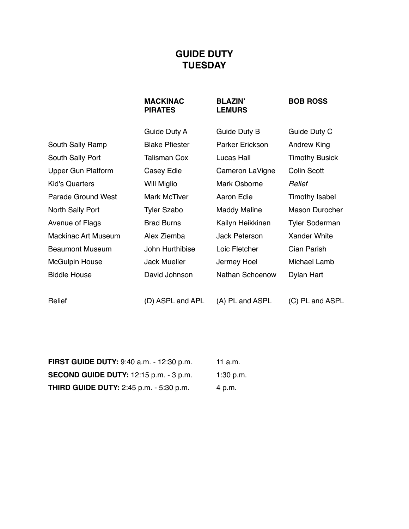# **GUIDE DUTY TUESDAY**

# **PIRATES LEMURS**

### **MACKINAC BLAZIN' BOB ROSS**

|                           | <b>Guide Duty A</b>   | <b>Guide Duty B</b> | <b>Guide Duty C</b>   |
|---------------------------|-----------------------|---------------------|-----------------------|
| South Sally Ramp          | <b>Blake Pfiester</b> | Parker Erickson     | <b>Andrew King</b>    |
| South Sally Port          | Talisman Cox          | Lucas Hall          | <b>Timothy Busick</b> |
| <b>Upper Gun Platform</b> | Casey Edie            | Cameron LaVigne     | Colin Scott           |
| Kid's Quarters            | Will Miglio           | Mark Osborne        | Relief                |
| Parade Ground West        | Mark McTiver          | Aaron Edie          | Timothy Isabel        |
| North Sally Port          | <b>Tyler Szabo</b>    | <b>Maddy Maline</b> | Mason Durocher        |
| Avenue of Flags           | <b>Brad Burns</b>     | Kailyn Heikkinen    | <b>Tyler Soderman</b> |
| Mackinac Art Museum       | Alex Ziemba           | Jack Peterson       | Xander White          |
| <b>Beaumont Museum</b>    | John Hurthibise       | Loic Fletcher       | Cian Parish           |
| <b>McGulpin House</b>     | Jack Mueller          | Jermey Hoel         | Michael Lamb          |
| <b>Biddle House</b>       | David Johnson         | Nathan Schoenow     | Dylan Hart            |
|                           |                       |                     |                       |

Relief (D) ASPL and APL (A) PL and ASPL (C) PL and ASPL

| <b>FIRST GUIDE DUTY:</b> 9:40 a.m. - 12:30 p.m. | 11 a.m.   |
|-------------------------------------------------|-----------|
| <b>SECOND GUIDE DUTY:</b> 12:15 p.m. - 3 p.m.   | 1:30 p.m. |
| <b>THIRD GUIDE DUTY:</b> 2:45 p.m. - 5:30 p.m.  | 4 p.m.    |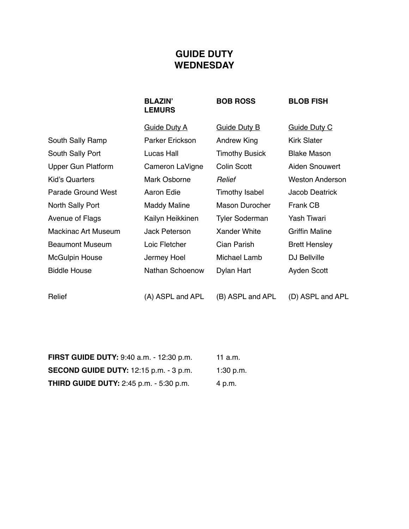# **GUIDE DUTY WEDNESDAY**

# **LEMURS**

BLAZIN' BOB ROSS BLOB FISH

|                           | <b>Guide Duty A</b> | <b>Guide Duty B</b>   | <b>Guide Duty C</b>   |
|---------------------------|---------------------|-----------------------|-----------------------|
| South Sally Ramp          | Parker Erickson     | Andrew King           | Kirk Slater           |
| South Sally Port          | Lucas Hall          | <b>Timothy Busick</b> | <b>Blake Mason</b>    |
| <b>Upper Gun Platform</b> | Cameron LaVigne     | Colin Scott           | Aiden Snouwert        |
| Kid's Quarters            | Mark Osborne        | Relief                | Weston Anderson       |
| Parade Ground West        | Aaron Edie          | Timothy Isabel        | Jacob Deatrick        |
| North Sally Port          | <b>Maddy Maline</b> | Mason Durocher        | Frank CB              |
| Avenue of Flags           | Kailyn Heikkinen    | <b>Tyler Soderman</b> | Yash Tiwari           |
| Mackinac Art Museum       | Jack Peterson       | Xander White          | <b>Griffin Maline</b> |
| <b>Beaumont Museum</b>    | Loic Fletcher       | Cian Parish           | <b>Brett Hensley</b>  |
| <b>McGulpin House</b>     | Jermey Hoel         | Michael Lamb          | DJ Bellville          |
| <b>Biddle House</b>       | Nathan Schoenow     | Dylan Hart            | Ayden Scott           |
|                           |                     |                       |                       |

Relief (A) ASPL and APL (B) ASPL and APL (D) ASPL and APL

| <b>FIRST GUIDE DUTY:</b> 9:40 a.m. - 12:30 p.m. | 11 a.m.   |
|-------------------------------------------------|-----------|
| <b>SECOND GUIDE DUTY:</b> 12:15 p.m. - 3 p.m.   | 1:30 p.m. |
| <b>THIRD GUIDE DUTY:</b> 2:45 p.m. - 5:30 p.m.  | 4 p.m.    |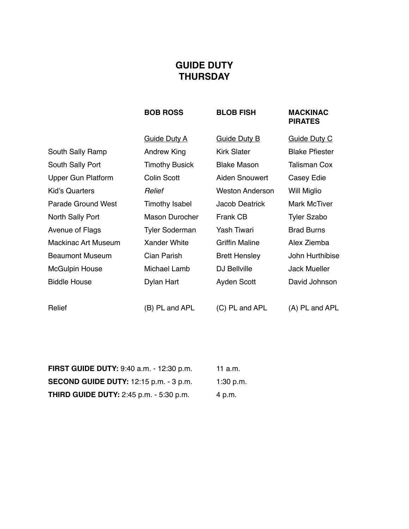# **GUIDE DUTY THURSDAY**

### **BOB ROSS BLOB FISH MACKINAC PIRATES**

|                            | <b>Guide Duty A</b>   | <b>Guide Duty B</b>    | <b>Guide Duty C</b>   |
|----------------------------|-----------------------|------------------------|-----------------------|
| South Sally Ramp           | Andrew King           | <b>Kirk Slater</b>     | <b>Blake Pfiester</b> |
| South Sally Port           | <b>Timothy Busick</b> | <b>Blake Mason</b>     | <b>Talisman Cox</b>   |
| Upper Gun Platform         | Colin Scott           | Aiden Snouwert         | Casey Edie            |
| Kid's Quarters             | Relief                | <b>Weston Anderson</b> | Will Miglio           |
| <b>Parade Ground West</b>  | Timothy Isabel        | Jacob Deatrick         | <b>Mark McTiver</b>   |
| North Sally Port           | <b>Mason Durocher</b> | Frank CB               | <b>Tyler Szabo</b>    |
| Avenue of Flags            | <b>Tyler Soderman</b> | Yash Tiwari            | <b>Brad Burns</b>     |
| <b>Mackinac Art Museum</b> | <b>Xander White</b>   | <b>Griffin Maline</b>  | Alex Ziemba           |
| <b>Beaumont Museum</b>     | Cian Parish           | <b>Brett Hensley</b>   | John Hurthibise       |
| <b>McGulpin House</b>      | Michael Lamb          | DJ Bellville           | <b>Jack Mueller</b>   |
| <b>Biddle House</b>        | Dylan Hart            | Ayden Scott            | David Johnson         |
|                            |                       |                        |                       |
| Relief                     | (B) PL and APL        | (C) PL and APL         | (A) PL and APL        |

| <b>FIRST GUIDE DUTY:</b> 9:40 a.m. - 12:30 p.m. | 11 a.m.   |
|-------------------------------------------------|-----------|
| <b>SECOND GUIDE DUTY:</b> 12:15 p.m. - 3 p.m.   | 1:30 p.m. |
| <b>THIRD GUIDE DUTY:</b> 2:45 p.m. - 5:30 p.m.  | 4 p.m.    |